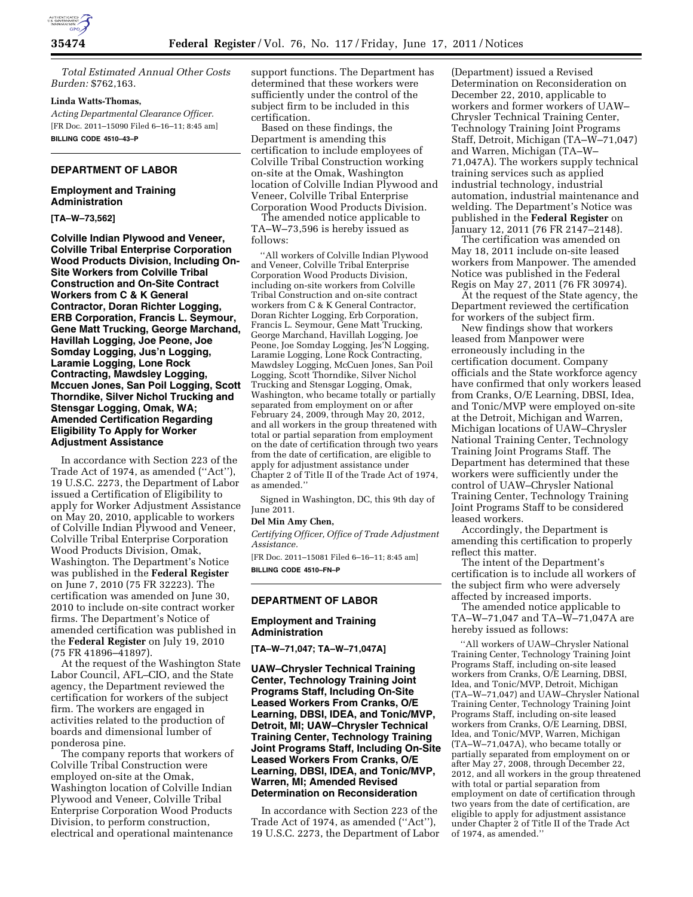

*Total Estimated Annual Other Costs Burden:* \$762,163.

### **Linda Watts-Thomas,**

*Acting Departmental Clearance Officer.*  [FR Doc. 2011–15090 Filed 6–16–11; 8:45 am] **BILLING CODE 4510–43–P** 

# **DEPARTMENT OF LABOR**

### **Employment and Training Administration**

### **[TA–W–73,562]**

**Colville Indian Plywood and Veneer, Colville Tribal Enterprise Corporation Wood Products Division, Including On-Site Workers from Colville Tribal Construction and On-Site Contract Workers from C & K General Contractor, Doran Richter Logging, ERB Corporation, Francis L. Seymour, Gene Matt Trucking, George Marchand, Havillah Logging, Joe Peone, Joe Somday Logging, Jus'n Logging, Laramie Logging, Lone Rock Contracting, Mawdsley Logging, Mccuen Jones, San Poil Logging, Scott Thorndike, Silver Nichol Trucking and Stensgar Logging, Omak, WA; Amended Certification Regarding Eligibility To Apply for Worker Adjustment Assistance** 

In accordance with Section 223 of the Trade Act of 1974, as amended (''Act''), 19 U.S.C. 2273, the Department of Labor issued a Certification of Eligibility to apply for Worker Adjustment Assistance on May 20, 2010, applicable to workers of Colville Indian Plywood and Veneer, Colville Tribal Enterprise Corporation Wood Products Division, Omak, Washington. The Department's Notice was published in the **Federal Register**  on June 7, 2010 (75 FR 32223). The certification was amended on June 30, 2010 to include on-site contract worker firms. The Department's Notice of amended certification was published in the **Federal Register** on July 19, 2010 (75 FR 41896–41897).

At the request of the Washington State Labor Council, AFL–CIO, and the State agency, the Department reviewed the certification for workers of the subject firm. The workers are engaged in activities related to the production of boards and dimensional lumber of ponderosa pine.

The company reports that workers of Colville Tribal Construction were employed on-site at the Omak, Washington location of Colville Indian Plywood and Veneer, Colville Tribal Enterprise Corporation Wood Products Division, to perform construction, electrical and operational maintenance

support functions. The Department has determined that these workers were sufficiently under the control of the subject firm to be included in this certification.

Based on these findings, the Department is amending this certification to include employees of Colville Tribal Construction working on-site at the Omak, Washington location of Colville Indian Plywood and Veneer, Colville Tribal Enterprise Corporation Wood Products Division.

The amended notice applicable to TA–W–73,596 is hereby issued as follows:

''All workers of Colville Indian Plywood and Veneer, Colville Tribal Enterprise Corporation Wood Products Division, including on-site workers from Colville Tribal Construction and on-site contract workers from C & K General Contractor, Doran Richter Logging, Erb Corporation, Francis L. Seymour, Gene Matt Trucking, George Marchand, Havillah Logging, Joe Peone, Joe Somday Logging, Jes'N Logging, Laramie Logging, Lone Rock Contracting, Mawdsley Logging, McCuen Jones, San Poil Logging, Scott Thorndike, Silver Nichol Trucking and Stensgar Logging, Omak, Washington, who became totally or partially separated from employment on or after February 24, 2009, through May 20, 2012, and all workers in the group threatened with total or partial separation from employment on the date of certification through two years from the date of certification, are eligible to apply for adjustment assistance under Chapter 2 of Title II of the Trade Act of 1974, as amended.''

Signed in Washington, DC, this 9th day of June 2011.

### **Del Min Amy Chen,**

*Certifying Officer, Office of Trade Adjustment Assistance.* 

[FR Doc. 2011–15081 Filed 6–16–11; 8:45 am] **BILLING CODE 4510–FN–P** 

### **DEPARTMENT OF LABOR**

### **Employment and Training Administration**

**[TA–W–71,047; TA–W–71,047A]** 

**UAW–Chrysler Technical Training Center, Technology Training Joint Programs Staff, Including On-Site Leased Workers From Cranks, O/E Learning, DBSI, IDEA, and Tonic/MVP, Detroit, MI; UAW–Chrysler Technical Training Center, Technology Training Joint Programs Staff, Including On-Site Leased Workers From Cranks, O/E Learning, DBSI, IDEA, and Tonic/MVP, Warren, MI; Amended Revised Determination on Reconsideration** 

In accordance with Section 223 of the Trade Act of 1974, as amended (''Act''), 19 U.S.C. 2273, the Department of Labor

(Department) issued a Revised Determination on Reconsideration on December 22, 2010, applicable to workers and former workers of UAW– Chrysler Technical Training Center, Technology Training Joint Programs Staff, Detroit, Michigan (TA–W–71,047) and Warren, Michigan (TA–W– 71,047A). The workers supply technical training services such as applied industrial technology, industrial automation, industrial maintenance and welding. The Department's Notice was published in the **Federal Register** on January 12, 2011 (76 FR 2147–2148).

The certification was amended on May 18, 2011 include on-site leased workers from Manpower. The amended Notice was published in the Federal Regis on May 27, 2011 (76 FR 30974).

At the request of the State agency, the Department reviewed the certification for workers of the subject firm.

New findings show that workers leased from Manpower were erroneously including in the certification document. Company officials and the State workforce agency have confirmed that only workers leased from Cranks, O/E Learning, DBSI, Idea, and Tonic/MVP were employed on-site at the Detroit, Michigan and Warren, Michigan locations of UAW–Chrysler National Training Center, Technology Training Joint Programs Staff. The Department has determined that these workers were sufficiently under the control of UAW–Chrysler National Training Center, Technology Training Joint Programs Staff to be considered leased workers.

Accordingly, the Department is amending this certification to properly reflect this matter.

The intent of the Department's certification is to include all workers of the subject firm who were adversely affected by increased imports.

The amended notice applicable to TA–W–71,047 and TA–W–71,047A are hereby issued as follows:

''All workers of UAW–Chrysler National Training Center, Technology Training Joint Programs Staff, including on-site leased workers from Cranks, O/E Learning, DBSI, Idea, and Tonic/MVP, Detroit, Michigan (TA–W–71,047) and UAW–Chrysler National Training Center, Technology Training Joint Programs Staff, including on-site leased workers from Cranks, O/E Learning, DBSI, Idea, and Tonic/MVP, Warren, Michigan (TA–W–71,047A), who became totally or partially separated from employment on or after May 27, 2008, through December 22, 2012, and all workers in the group threatened with total or partial separation from employment on date of certification through two years from the date of certification, are eligible to apply for adjustment assistance under Chapter 2 of Title II of the Trade Act of 1974, as amended.''